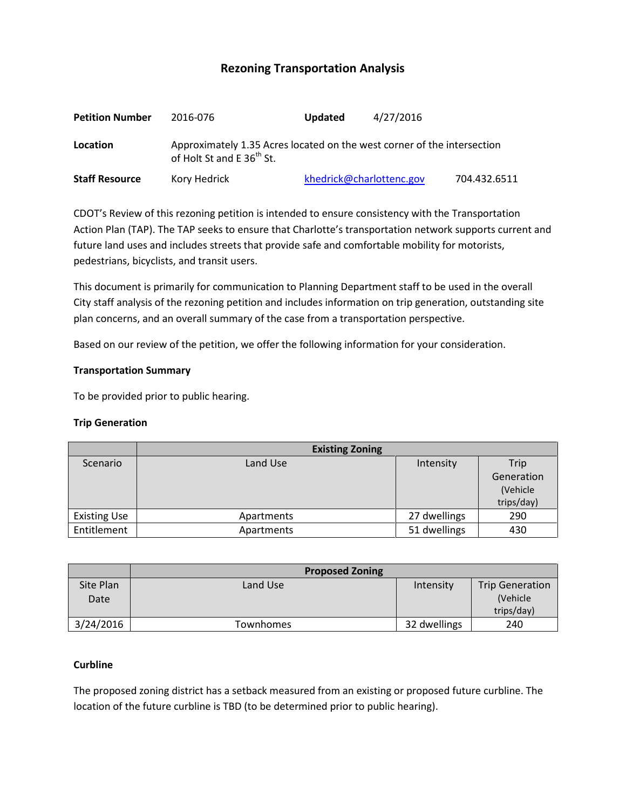# **Rezoning Transportation Analysis**

| <b>Petition Number</b> | 2016-076                                                                                                         | <b>Updated</b>           | 4/27/2016 |              |  |  |
|------------------------|------------------------------------------------------------------------------------------------------------------|--------------------------|-----------|--------------|--|--|
| Location               | Approximately 1.35 Acres located on the west corner of the intersection<br>of Holt St and E 36 <sup>th</sup> St. |                          |           |              |  |  |
| <b>Staff Resource</b>  | Kory Hedrick                                                                                                     | khedrick@charlottenc.gov |           | 704.432.6511 |  |  |

CDOT's Review of this rezoning petition is intended to ensure consistency with the Transportation Action Plan (TAP). The TAP seeks to ensure that Charlotte's transportation network supports current and future land uses and includes streets that provide safe and comfortable mobility for motorists, pedestrians, bicyclists, and transit users.

This document is primarily for communication to Planning Department staff to be used in the overall City staff analysis of the rezoning petition and includes information on trip generation, outstanding site plan concerns, and an overall summary of the case from a transportation perspective.

Based on our review of the petition, we offer the following information for your consideration.

### **Transportation Summary**

To be provided prior to public hearing.

### **Trip Generation**

|                     | <b>Existing Zoning</b> |              |            |
|---------------------|------------------------|--------------|------------|
| Scenario            | Land Use               | Intensity    | Trip       |
|                     |                        |              | Generation |
|                     |                        |              | (Vehicle   |
|                     |                        |              | trips/day) |
| <b>Existing Use</b> | Apartments             | 27 dwellings | 290        |
| Entitlement         | Apartments             | 51 dwellings | 430        |

|                   | <b>Proposed Zoning</b> |              |                                    |
|-------------------|------------------------|--------------|------------------------------------|
| Site Plan<br>Date | Land Use               | Intensity    | <b>Trip Generation</b><br>(Vehicle |
|                   |                        |              | trips/day)                         |
| 3/24/2016         | Townhomes              | 32 dwellings | 240                                |

## **Curbline**

The proposed zoning district has a setback measured from an existing or proposed future curbline. The location of the future curbline is TBD (to be determined prior to public hearing).